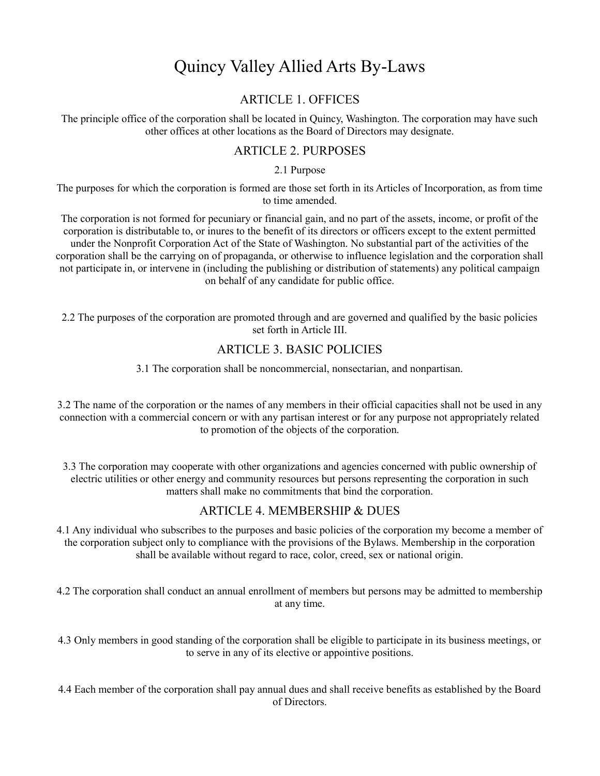# Quincy Valley Allied Arts By-Laws

## ARTICLE 1. OFFICES

The principle office of the corporation shall be located in Quincy, Washington. The corporation may have such other offices at other locations as the Board of Directors may designate.

## ARTICLE 2. PURPOSES

2.1 Purpose

The purposes for which the corporation is formed are those set forth in its Articles of Incorporation, as from time to time amended.

The corporation is not formed for pecuniary or financial gain, and no part of the assets, income, or profit of the corporation is distributable to, or inures to the benefit of its directors or officers except to the extent permitted under the Nonprofit Corporation Act of the State of Washington. No substantial part of the activities of the corporation shall be the carrying on of propaganda, or otherwise to influence legislation and the corporation shall not participate in, or intervene in (including the publishing or distribution of statements) any political campaign on behalf of any candidate for public office.

2.2 The purposes of the corporation are promoted through and are governed and qualified by the basic policies set forth in Article III.

## ARTICLE 3. BASIC POLICIES

3.1 The corporation shall be noncommercial, nonsectarian, and nonpartisan.

3.2 The name of the corporation or the names of any members in their official capacities shall not be used in any connection with a commercial concern or with any partisan interest or for any purpose not appropriately related to promotion of the objects of the corporation.

3.3 The corporation may cooperate with other organizations and agencies concerned with public ownership of electric utilities or other energy and community resources but persons representing the corporation in such matters shall make no commitments that bind the corporation.

## ARTICLE 4. MEMBERSHIP & DUES

4.1 Any individual who subscribes to the purposes and basic policies of the corporation my become a member of the corporation subject only to compliance with the provisions of the Bylaws. Membership in the corporation shall be available without regard to race, color, creed, sex or national origin.

4.2 The corporation shall conduct an annual enrollment of members but persons may be admitted to membership at any time.

4.3 Only members in good standing of the corporation shall be eligible to participate in its business meetings, or to serve in any of its elective or appointive positions.

4.4 Each member of the corporation shall pay annual dues and shall receive benefits as established by the Board of Directors.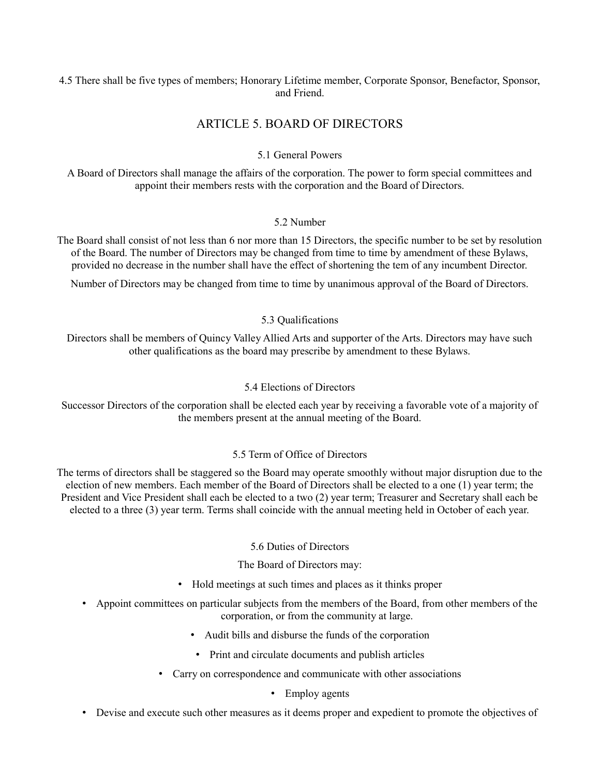## 4.5 There shall be five types of members; Honorary Lifetime member, Corporate Sponsor, Benefactor, Sponsor, and Friend.

# ARTICLE 5. BOARD OF DIRECTORS

## 5.1 General Powers

A Board of Directors shall manage the affairs of the corporation. The power to form special committees and appoint their members rests with the corporation and the Board of Directors.

## 5.2 Number

The Board shall consist of not less than 6 nor more than 15 Directors, the specific number to be set by resolution of the Board. The number of Directors may be changed from time to time by amendment of these Bylaws, provided no decrease in the number shall have the effect of shortening the tem of any incumbent Director.

Number of Directors may be changed from time to time by unanimous approval of the Board of Directors.

## 5.3 Qualifications

Directors shall be members of Quincy Valley Allied Arts and supporter of the Arts. Directors may have such other qualifications as the board may prescribe by amendment to these Bylaws.

## 5.4 Elections of Directors

Successor Directors of the corporation shall be elected each year by receiving a favorable vote of a majority of the members present at the annual meeting of the Board.

## 5.5 Term of Office of Directors

The terms of directors shall be staggered so the Board may operate smoothly without major disruption due to the election of new members. Each member of the Board of Directors shall be elected to a one (1) year term; the President and Vice President shall each be elected to a two (2) year term; Treasurer and Secretary shall each be elected to a three (3) year term. Terms shall coincide with the annual meeting held in October of each year.

## 5.6 Duties of Directors

## The Board of Directors may:

- Hold meetings at such times and places as it thinks proper
- Appoint committees on particular subjects from the members of the Board, from other members of the corporation, or from the community at large.
	- Audit bills and disburse the funds of the corporation
	- Print and circulate documents and publish articles
	- Carry on correspondence and communicate with other associations

## • Employ agents

• Devise and execute such other measures as it deems proper and expedient to promote the objectives of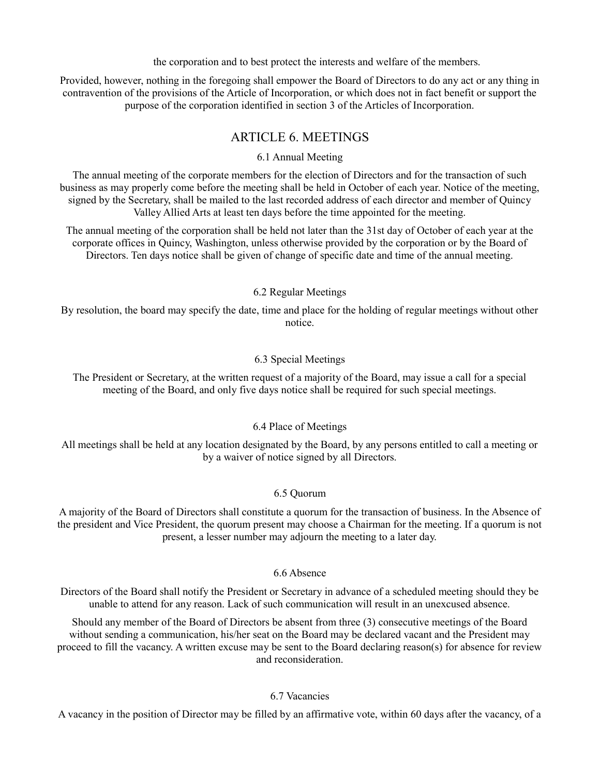the corporation and to best protect the interests and welfare of the members.

Provided, however, nothing in the foregoing shall empower the Board of Directors to do any act or any thing in contravention of the provisions of the Article of Incorporation, or which does not in fact benefit or support the purpose of the corporation identified in section 3 of the Articles of Incorporation.

## ARTICLE 6. MEETINGS

6.1 Annual Meeting

The annual meeting of the corporate members for the election of Directors and for the transaction of such business as may properly come before the meeting shall be held in October of each year. Notice of the meeting, signed by the Secretary, shall be mailed to the last recorded address of each director and member of Quincy Valley Allied Arts at least ten days before the time appointed for the meeting.

The annual meeting of the corporation shall be held not later than the 31st day of October of each year at the corporate offices in Quincy, Washington, unless otherwise provided by the corporation or by the Board of Directors. Ten days notice shall be given of change of specific date and time of the annual meeting.

#### 6.2 Regular Meetings

By resolution, the board may specify the date, time and place for the holding of regular meetings without other notice.

#### 6.3 Special Meetings

The President or Secretary, at the written request of a majority of the Board, may issue a call for a special meeting of the Board, and only five days notice shall be required for such special meetings.

## 6.4 Place of Meetings

All meetings shall be held at any location designated by the Board, by any persons entitled to call a meeting or by a waiver of notice signed by all Directors.

## 6.5 Quorum

A majority of the Board of Directors shall constitute a quorum for the transaction of business. In the Absence of the president and Vice President, the quorum present may choose a Chairman for the meeting. If a quorum is not present, a lesser number may adjourn the meeting to a later day.

## 6.6 Absence

Directors of the Board shall notify the President or Secretary in advance of a scheduled meeting should they be unable to attend for any reason. Lack of such communication will result in an unexcused absence.

Should any member of the Board of Directors be absent from three (3) consecutive meetings of the Board without sending a communication, his/her seat on the Board may be declared vacant and the President may proceed to fill the vacancy. A written excuse may be sent to the Board declaring reason(s) for absence for review and reconsideration.

## 6.7 Vacancies

A vacancy in the position of Director may be filled by an affirmative vote, within 60 days after the vacancy, of a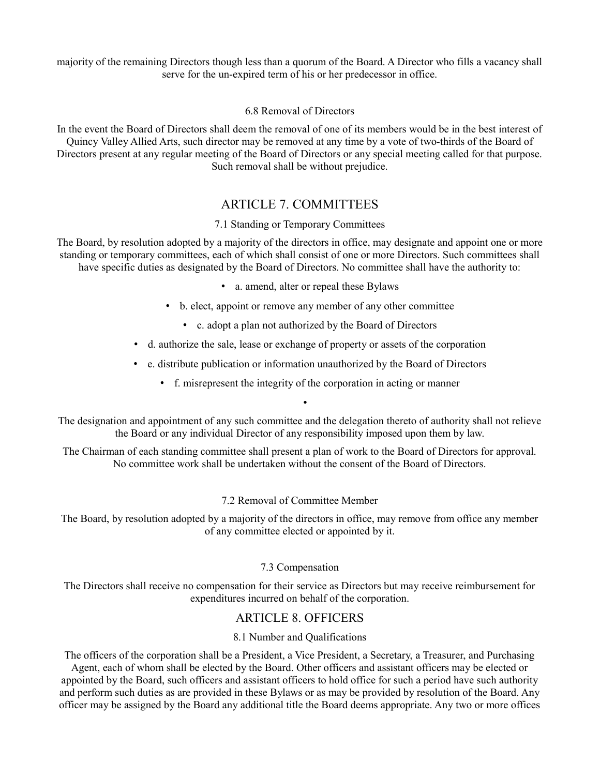majority of the remaining Directors though less than a quorum of the Board. A Director who fills a vacancy shall serve for the un-expired term of his or her predecessor in office.

#### 6.8 Removal of Directors

In the event the Board of Directors shall deem the removal of one of its members would be in the best interest of Quincy Valley Allied Arts, such director may be removed at any time by a vote of two-thirds of the Board of Directors present at any regular meeting of the Board of Directors or any special meeting called for that purpose. Such removal shall be without prejudice.

# ARTICLE 7. COMMITTEES

## 7.1 Standing or Temporary Committees

The Board, by resolution adopted by a majority of the directors in office, may designate and appoint one or more standing or temporary committees, each of which shall consist of one or more Directors. Such committees shall have specific duties as designated by the Board of Directors. No committee shall have the authority to:

- a. amend, alter or repeal these Bylaws
- b. elect, appoint or remove any member of any other committee
	- c. adopt a plan not authorized by the Board of Directors
- d. authorize the sale, lease or exchange of property or assets of the corporation
- e. distribute publication or information unauthorized by the Board of Directors
	- f. misrepresent the integrity of the corporation in acting or manner

The designation and appointment of any such committee and the delegation thereto of authority shall not relieve the Board or any individual Director of any responsibility imposed upon them by law.

•

The Chairman of each standing committee shall present a plan of work to the Board of Directors for approval. No committee work shall be undertaken without the consent of the Board of Directors.

## 7.2 Removal of Committee Member

The Board, by resolution adopted by a majority of the directors in office, may remove from office any member of any committee elected or appointed by it.

## 7.3 Compensation

The Directors shall receive no compensation for their service as Directors but may receive reimbursement for expenditures incurred on behalf of the corporation.

# ARTICLE 8. OFFICERS

## 8.1 Number and Qualifications

The officers of the corporation shall be a President, a Vice President, a Secretary, a Treasurer, and Purchasing Agent, each of whom shall be elected by the Board. Other officers and assistant officers may be elected or appointed by the Board, such officers and assistant officers to hold office for such a period have such authority and perform such duties as are provided in these Bylaws or as may be provided by resolution of the Board. Any officer may be assigned by the Board any additional title the Board deems appropriate. Any two or more offices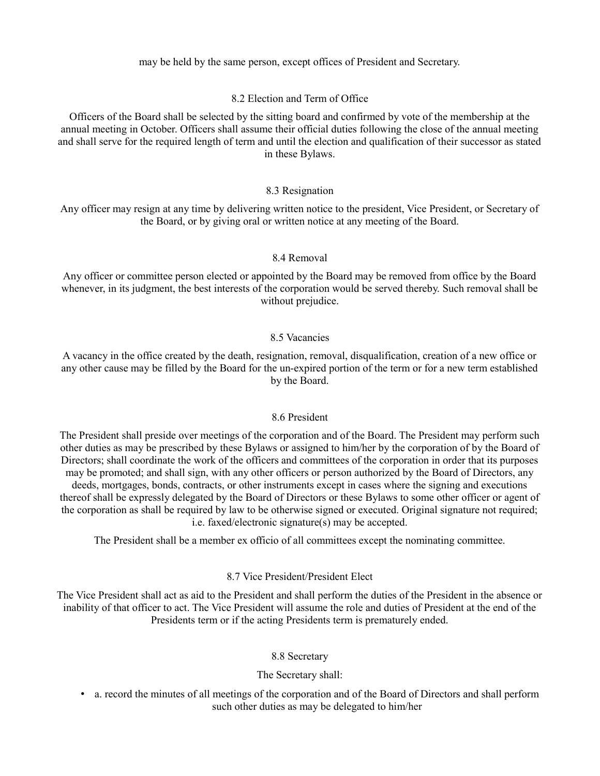may be held by the same person, except offices of President and Secretary.

#### 8.2 Election and Term of Office

Officers of the Board shall be selected by the sitting board and confirmed by vote of the membership at the annual meeting in October. Officers shall assume their official duties following the close of the annual meeting and shall serve for the required length of term and until the election and qualification of their successor as stated in these Bylaws.

#### 8.3 Resignation

Any officer may resign at any time by delivering written notice to the president, Vice President, or Secretary of the Board, or by giving oral or written notice at any meeting of the Board.

#### 8.4 Removal

Any officer or committee person elected or appointed by the Board may be removed from office by the Board whenever, in its judgment, the best interests of the corporation would be served thereby. Such removal shall be without prejudice.

#### 8.5 Vacancies

A vacancy in the office created by the death, resignation, removal, disqualification, creation of a new office or any other cause may be filled by the Board for the un-expired portion of the term or for a new term established by the Board.

#### 8.6 President

The President shall preside over meetings of the corporation and of the Board. The President may perform such other duties as may be prescribed by these Bylaws or assigned to him/her by the corporation of by the Board of Directors; shall coordinate the work of the officers and committees of the corporation in order that its purposes may be promoted; and shall sign, with any other officers or person authorized by the Board of Directors, any deeds, mortgages, bonds, contracts, or other instruments except in cases where the signing and executions thereof shall be expressly delegated by the Board of Directors or these Bylaws to some other officer or agent of the corporation as shall be required by law to be otherwise signed or executed. Original signature not required; i.e. faxed/electronic signature(s) may be accepted.

The President shall be a member ex officio of all committees except the nominating committee.

#### 8.7 Vice President/President Elect

The Vice President shall act as aid to the President and shall perform the duties of the President in the absence or inability of that officer to act. The Vice President will assume the role and duties of President at the end of the Presidents term or if the acting Presidents term is prematurely ended.

#### 8.8 Secretary

#### The Secretary shall:

• a. record the minutes of all meetings of the corporation and of the Board of Directors and shall perform such other duties as may be delegated to him/her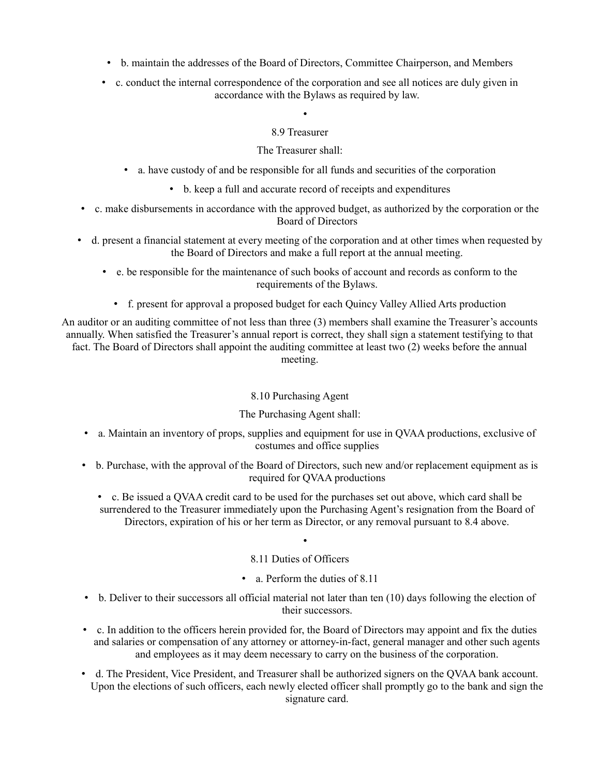- b. maintain the addresses of the Board of Directors, Committee Chairperson, and Members
- c. conduct the internal correspondence of the corporation and see all notices are duly given in accordance with the Bylaws as required by law.

• 8.9 Treasurer

The Treasurer shall:

- a. have custody of and be responsible for all funds and securities of the corporation
	- b. keep a full and accurate record of receipts and expenditures
- c. make disbursements in accordance with the approved budget, as authorized by the corporation or the Board of Directors
- d. present a financial statement at every meeting of the corporation and at other times when requested by the Board of Directors and make a full report at the annual meeting.

• e. be responsible for the maintenance of such books of account and records as conform to the requirements of the Bylaws.

• f. present for approval a proposed budget for each Quincy Valley Allied Arts production

An auditor or an auditing committee of not less than three (3) members shall examine the Treasurer's accounts annually. When satisfied the Treasurer's annual report is correct, they shall sign a statement testifying to that fact. The Board of Directors shall appoint the auditing committee at least two (2) weeks before the annual meeting.

## 8.10 Purchasing Agent

## The Purchasing Agent shall:

- a. Maintain an inventory of props, supplies and equipment for use in QVAA productions, exclusive of costumes and office supplies
- b. Purchase, with the approval of the Board of Directors, such new and/or replacement equipment as is required for QVAA productions
	- c. Be issued a QVAA credit card to be used for the purchases set out above, which card shall be surrendered to the Treasurer immediately upon the Purchasing Agent's resignation from the Board of Directors, expiration of his or her term as Director, or any removal pursuant to 8.4 above.

## 8.11 Duties of Officers

•

- a. Perform the duties of 8.11
- b. Deliver to their successors all official material not later than ten (10) days following the election of their successors.
- c. In addition to the officers herein provided for, the Board of Directors may appoint and fix the duties and salaries or compensation of any attorney or attorney-in-fact, general manager and other such agents and employees as it may deem necessary to carry on the business of the corporation.
- d. The President, Vice President, and Treasurer shall be authorized signers on the QVAA bank account. Upon the elections of such officers, each newly elected officer shall promptly go to the bank and sign the signature card.